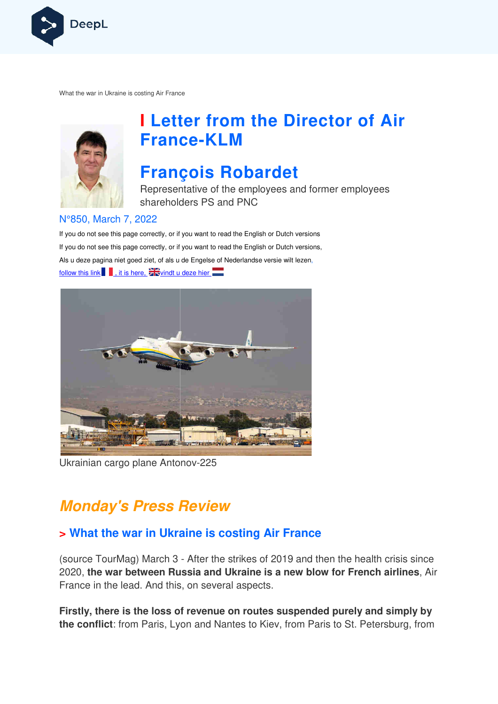

What the war in Ukraine is costing Air France



# **I Letter from the Director of Air France France-KLM**

# **François Robardet**

Representative of the employees and former employees shareholders PS and PNC

#### N°850, March 7, 2022

If you do not see this page correctly, or if you want to read the English or Dutch versions If you do not see this page correctly, or if you want to read the English or Dutch versions, If you do not see this page correctly, or if you want to read the English or Dutch versior<br>Als u deze pagina niet goed ziet, of als u de Engelse of Nederlandse versie wilt lezen, follow this link  $\blacksquare$ , it is here,  $\geq$  vindt u deze hier



Ukrainian cargo plane Antonov-225

# **Monday's Press Review**

## **> What the war in Ukraine is costing Air France**

(source TourMag) March 3 - After the strikes of 2019 and then the health crisis since 2020, **the war between Russia and Ukraine is a new blow for French airlines** , Air France in the lead. And this, on several aspects.

**Firstly, there is the loss of revenue on routes suspended purely and simply by the conflict**: from Paris, Lyon and Nantes to Kiev, from Paris to St. Petersburg, from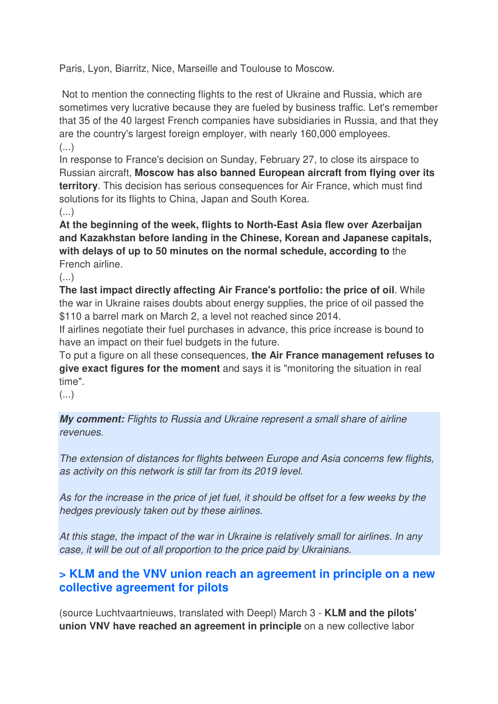Paris, Lyon, Biarritz, Nice, Marseille and Toulouse to Moscow.

 Not to mention the connecting flights to the rest of Ukraine and Russia, which are sometimes very lucrative because they are fueled by business traffic. Let's remember that 35 of the 40 largest French companies have subsidiaries in Russia, and that they are the country's largest foreign employer, with nearly 160,000 employees.  $\left( \ldots \right)$ 

In response to France's decision on Sunday, February 27, to close its airspace to Russian aircraft, **Moscow has also banned European aircraft from flying over its territory**. This decision has serious consequences for Air France, which must find solutions for its flights to China, Japan and South Korea.

(...)

**At the beginning of the week, flights to North-East Asia flew over Azerbaijan and Kazakhstan before landing in the Chinese, Korean and Japanese capitals, with delays of up to 50 minutes on the normal schedule, according to** the French airline.

 $\left( \ldots \right)$ 

**The last impact directly affecting Air France's portfolio: the price of oil**. While the war in Ukraine raises doubts about energy supplies, the price of oil passed the \$110 a barrel mark on March 2, a level not reached since 2014.

If airlines negotiate their fuel purchases in advance, this price increase is bound to have an impact on their fuel budgets in the future.

To put a figure on all these consequences, **the Air France management refuses to give exact figures for the moment** and says it is "monitoring the situation in real time".

 $($ ...)

**My comment:** Flights to Russia and Ukraine represent a small share of airline revenues.

The extension of distances for flights between Europe and Asia concerns few flights, as activity on this network is still far from its 2019 level.

As for the increase in the price of jet fuel, it should be offset for a few weeks by the hedges previously taken out by these airlines.

At this stage, the impact of the war in Ukraine is relatively small for airlines. In any case, it will be out of all proportion to the price paid by Ukrainians.

## **> KLM and the VNV union reach an agreement in principle on a new collective agreement for pilots**

(source Luchtvaartnieuws, translated with Deepl) March 3 - **KLM and the pilots' union VNV have reached an agreement in principle** on a new collective labor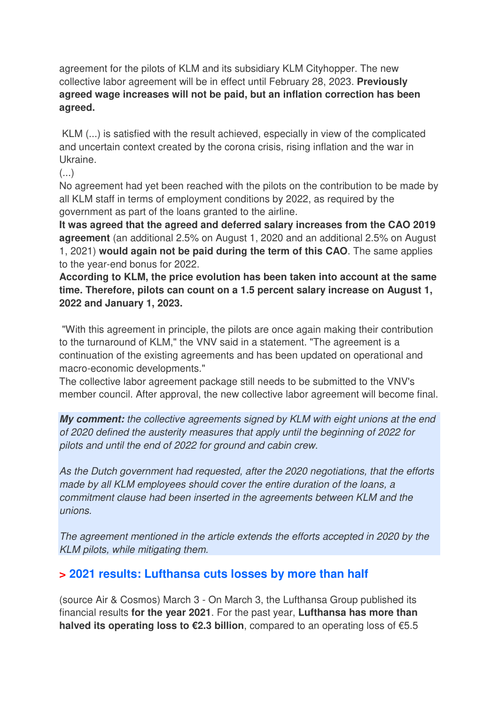agreement for the pilots of KLM and its subsidiary KLM Cityhopper. The new collective labor agreement will be in effect until February 28, 2023. **Previously agreed wage increases will not be paid, but an inflation correction has been agreed.** 

 KLM (...) is satisfied with the result achieved, especially in view of the complicated and uncertain context created by the corona crisis, rising inflation and the war in Ukraine.

 $\left( \ldots \right)$ 

No agreement had yet been reached with the pilots on the contribution to be made by all KLM staff in terms of employment conditions by 2022, as required by the government as part of the loans granted to the airline.

**It was agreed that the agreed and deferred salary increases from the CAO 2019 agreement** (an additional 2.5% on August 1, 2020 and an additional 2.5% on August 1, 2021) **would again not be paid during the term of this CAO**. The same applies to the year-end bonus for 2022.

**According to KLM, the price evolution has been taken into account at the same time. Therefore, pilots can count on a 1.5 percent salary increase on August 1, 2022 and January 1, 2023.** 

 "With this agreement in principle, the pilots are once again making their contribution to the turnaround of KLM," the VNV said in a statement. "The agreement is a continuation of the existing agreements and has been updated on operational and macro-economic developments."

The collective labor agreement package still needs to be submitted to the VNV's member council. After approval, the new collective labor agreement will become final.

**My comment:** the collective agreements signed by KLM with eight unions at the end of 2020 defined the austerity measures that apply until the beginning of 2022 for pilots and until the end of 2022 for ground and cabin crew.

As the Dutch government had requested, after the 2020 negotiations, that the efforts made by all KLM employees should cover the entire duration of the loans, a commitment clause had been inserted in the agreements between KLM and the unions.

The agreement mentioned in the article extends the efforts accepted in 2020 by the KLM pilots, while mitigating them.

## **> 2021 results: Lufthansa cuts losses by more than half**

(source Air & Cosmos) March 3 - On March 3, the Lufthansa Group published its financial results **for the year 2021**. For the past year, **Lufthansa has more than halved its operating loss to €2.3 billion**, compared to an operating loss of €5.5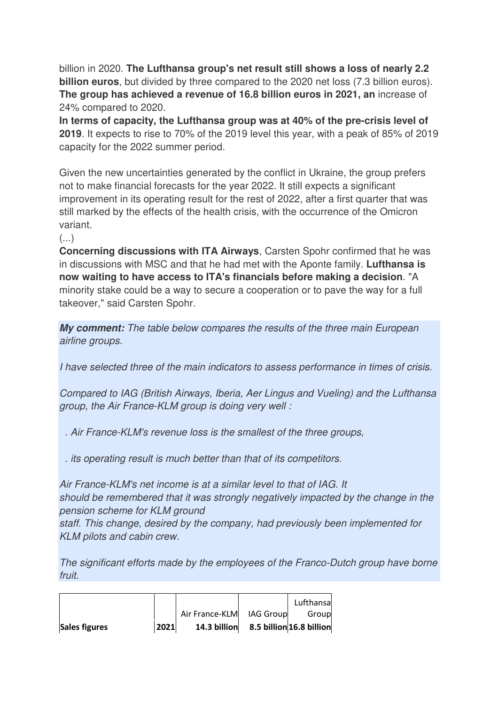billion in 2020. **The Lufthansa group's net result still shows a loss of nearly 2.2 billion euros**, but divided by three compared to the 2020 net loss (7.3 billion euros). **The group has achieved a revenue of 16.8 billion euros in 2021, an** increase of 24% compared to 2020.

**In terms of capacity, the Lufthansa group was at 40% of the pre-crisis level of 2019**. It expects to rise to 70% of the 2019 level this year, with a peak of 85% of 2019 capacity for the 2022 summer period.

Given the new uncertainties generated by the conflict in Ukraine, the group prefers not to make financial forecasts for the year 2022. It still expects a significant improvement in its operating result for the rest of 2022, after a first quarter that was still marked by the effects of the health crisis, with the occurrence of the Omicron variant.

 $(\ldots)$ 

**Concerning discussions with ITA Airways**, Carsten Spohr confirmed that he was in discussions with MSC and that he had met with the Aponte family. **Lufthansa is now waiting to have access to ITA's financials before making a decision**. "A minority stake could be a way to secure a cooperation or to pave the way for a full takeover," said Carsten Spohr.

**My comment:** The table below compares the results of the three main European airline groups.

I have selected three of the main indicators to assess performance in times of crisis.

Compared to IAG (British Airways, Iberia, Aer Lingus and Vueling) and the Lufthansa group, the Air France-KLM group is doing very well :

. Air France-KLM's revenue loss is the smallest of the three groups,

. its operating result is much better than that of its competitors.

Air France-KLM's net income is at a similar level to that of IAG. It should be remembered that it was strongly negatively impacted by the change in the pension scheme for KLM ground

staff. This change, desired by the company, had previously been implemented for KLM pilots and cabin crew.

The significant efforts made by the employees of the Franco-Dutch group have borne fruit.

| Sales figures | 2021 | 14.3 billion   |           | 8.5 billion 16.8 billion |
|---------------|------|----------------|-----------|--------------------------|
|               |      | Air France-KLM | IAG Group | Groupl                   |
|               |      |                |           | Lufthansa                |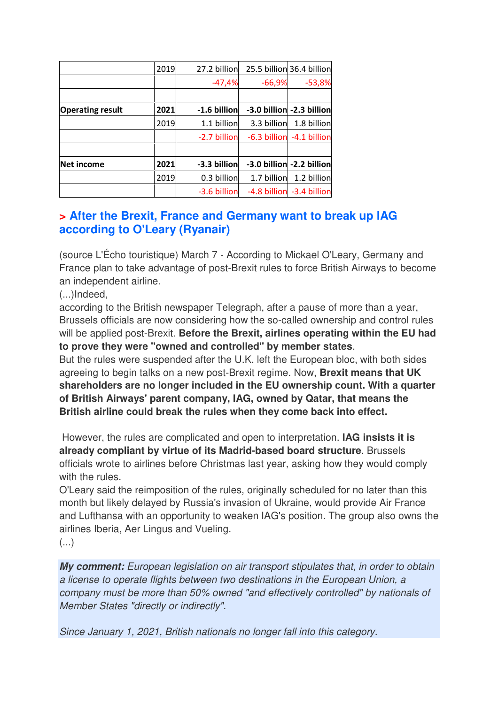|                         | 2019 | 27.2 billion | 25.5 billion 36.4 billion |                           |
|-------------------------|------|--------------|---------------------------|---------------------------|
|                         |      | $-47,4%$     | $-66,9%$                  | $-53,8%$                  |
|                         |      |              |                           |                           |
| <b>Operating result</b> | 2021 | -1.6 billion |                           | -3.0 billion -2.3 billion |
|                         | 2019 | 1.1 billion  | 3.3 billion               | 1.8 billion               |
|                         |      | -2.7 billion |                           | -6.3 billion -4.1 billion |
|                         |      |              |                           |                           |
| Net income              | 2021 | -3.3 billion |                           | -3.0 billion -2.2 billion |
|                         | 2019 | 0.3 billion  | 1.7 billion               | 1.2 billion               |
|                         |      | -3.6 billion |                           | -4.8 billion -3.4 billion |

### **> After the Brexit, France and Germany want to break up IAG according to O'Leary (Ryanair)**

(source L'Écho touristique) March 7 - According to Mickael O'Leary, Germany and France plan to take advantage of post-Brexit rules to force British Airways to become an independent airline.

(...)Indeed,

according to the British newspaper Telegraph, after a pause of more than a year, Brussels officials are now considering how the so-called ownership and control rules will be applied post-Brexit. **Before the Brexit, airlines operating within the EU had to prove they were "owned and controlled" by member states**.

But the rules were suspended after the U.K. left the European bloc, with both sides agreeing to begin talks on a new post-Brexit regime. Now, **Brexit means that UK shareholders are no longer included in the EU ownership count. With a quarter of British Airways' parent company, IAG, owned by Qatar, that means the British airline could break the rules when they come back into effect.** 

 However, the rules are complicated and open to interpretation. **IAG insists it is already compliant by virtue of its Madrid-based board structure**. Brussels officials wrote to airlines before Christmas last year, asking how they would comply with the rules.

O'Leary said the reimposition of the rules, originally scheduled for no later than this month but likely delayed by Russia's invasion of Ukraine, would provide Air France and Lufthansa with an opportunity to weaken IAG's position. The group also owns the airlines Iberia, Aer Lingus and Vueling.

(...)

**My comment:** European legislation on air transport stipulates that, in order to obtain a license to operate flights between two destinations in the European Union, a company must be more than 50% owned "and effectively controlled" by nationals of Member States "directly or indirectly".

Since January 1, 2021, British nationals no longer fall into this category.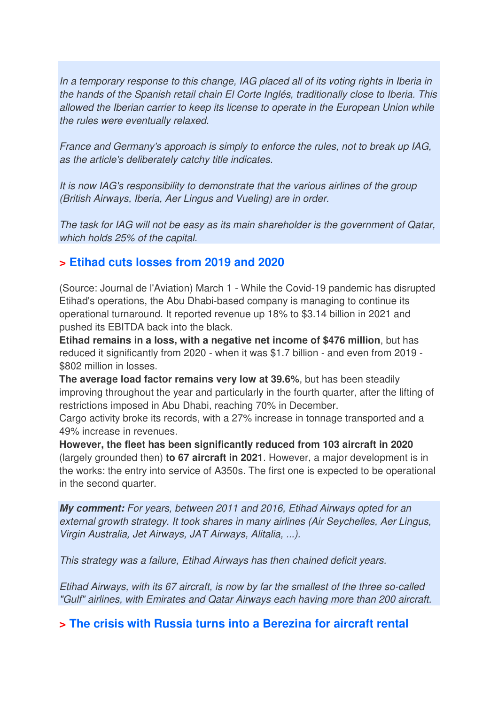In a temporary response to this change, IAG placed all of its voting rights in Iberia in the hands of the Spanish retail chain El Corte Inglés, traditionally close to Iberia. This allowed the Iberian carrier to keep its license to operate in the European Union while the rules were eventually relaxed.

France and Germany's approach is simply to enforce the rules, not to break up IAG, as the article's deliberately catchy title indicates.

It is now IAG's responsibility to demonstrate that the various airlines of the group (British Airways, Iberia, Aer Lingus and Vueling) are in order.

The task for IAG will not be easy as its main shareholder is the government of Qatar, which holds 25% of the capital.

#### **> Etihad cuts losses from 2019 and 2020**

(Source: Journal de l'Aviation) March 1 - While the Covid-19 pandemic has disrupted Etihad's operations, the Abu Dhabi-based company is managing to continue its operational turnaround. It reported revenue up 18% to \$3.14 billion in 2021 and pushed its EBITDA back into the black.

**Etihad remains in a loss, with a negative net income of \$476 million**, but has reduced it significantly from 2020 - when it was \$1.7 billion - and even from 2019 - \$802 million in losses.

**The average load factor remains very low at 39.6%**, but has been steadily improving throughout the year and particularly in the fourth quarter, after the lifting of restrictions imposed in Abu Dhabi, reaching 70% in December.

Cargo activity broke its records, with a 27% increase in tonnage transported and a 49% increase in revenues.

**However, the fleet has been significantly reduced from 103 aircraft in 2020**  (largely grounded then) **to 67 aircraft in 2021**. However, a major development is in the works: the entry into service of A350s. The first one is expected to be operational in the second quarter.

**My comment:** For years, between 2011 and 2016, Etihad Airways opted for an external growth strategy. It took shares in many airlines (Air Seychelles, Aer Lingus, Virgin Australia, Jet Airways, JAT Airways, Alitalia, ...).

This strategy was a failure, Etihad Airways has then chained deficit years.

Etihad Airways, with its 67 aircraft, is now by far the smallest of the three so-called "Gulf" airlines, with Emirates and Qatar Airways each having more than 200 aircraft.

**> The crisis with Russia turns into a Berezina for aircraft rental**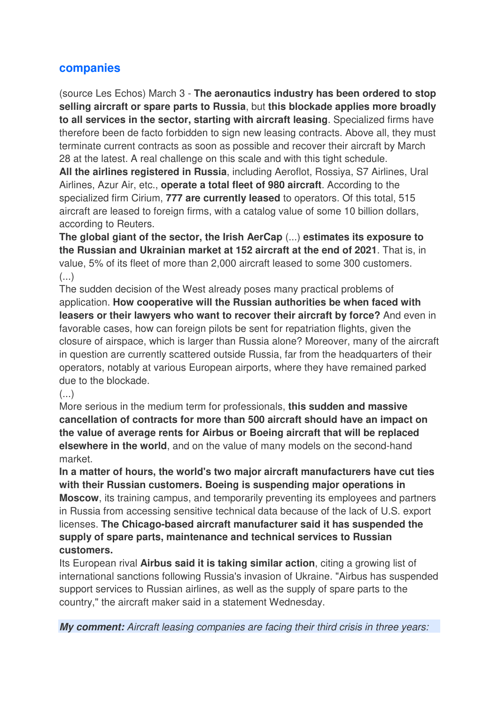#### **companies**

(source Les Echos) March 3 - **The aeronautics industry has been ordered to stop selling aircraft or spare parts to Russia**, but **this blockade applies more broadly to all services in the sector, starting with aircraft leasing**. Specialized firms have therefore been de facto forbidden to sign new leasing contracts. Above all, they must terminate current contracts as soon as possible and recover their aircraft by March 28 at the latest. A real challenge on this scale and with this tight schedule.

**All the airlines registered in Russia**, including Aeroflot, Rossiya, S7 Airlines, Ural Airlines, Azur Air, etc., **operate a total fleet of 980 aircraft**. According to the specialized firm Cirium, **777 are currently leased** to operators. Of this total, 515 aircraft are leased to foreign firms, with a catalog value of some 10 billion dollars, according to Reuters.

**The global giant of the sector, the Irish AerCap** (...) **estimates its exposure to the Russian and Ukrainian market at 152 aircraft at the end of 2021**. That is, in value, 5% of its fleet of more than 2,000 aircraft leased to some 300 customers. (...)

The sudden decision of the West already poses many practical problems of application. **How cooperative will the Russian authorities be when faced with leasers or their lawyers who want to recover their aircraft by force?** And even in favorable cases, how can foreign pilots be sent for repatriation flights, given the closure of airspace, which is larger than Russia alone? Moreover, many of the aircraft in question are currently scattered outside Russia, far from the headquarters of their operators, notably at various European airports, where they have remained parked due to the blockade.

 $\left( \ldots \right)$ 

More serious in the medium term for professionals, **this sudden and massive cancellation of contracts for more than 500 aircraft should have an impact on the value of average rents for Airbus or Boeing aircraft that will be replaced elsewhere in the world**, and on the value of many models on the second-hand market.

**In a matter of hours, the world's two major aircraft manufacturers have cut ties with their Russian customers. Boeing is suspending major operations in Moscow**, its training campus, and temporarily preventing its employees and partners in Russia from accessing sensitive technical data because of the lack of U.S. export licenses. **The Chicago-based aircraft manufacturer said it has suspended the supply of spare parts, maintenance and technical services to Russian customers.** 

Its European rival **Airbus said it is taking similar action**, citing a growing list of international sanctions following Russia's invasion of Ukraine. "Airbus has suspended support services to Russian airlines, as well as the supply of spare parts to the country," the aircraft maker said in a statement Wednesday.

**My comment:** Aircraft leasing companies are facing their third crisis in three years: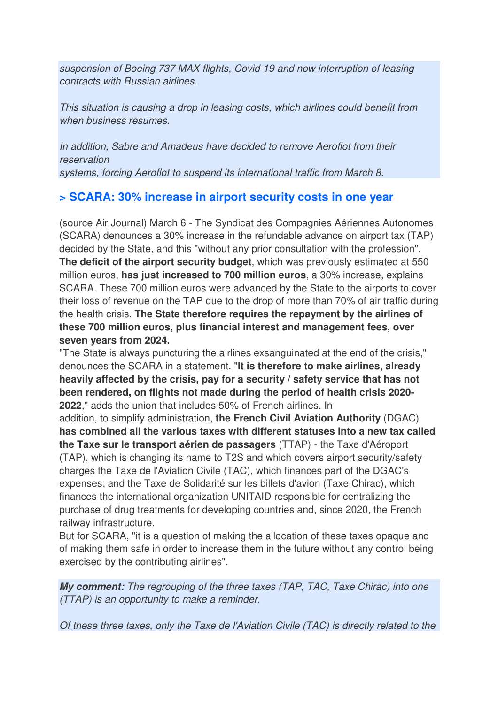suspension of Boeing 737 MAX flights, Covid-19 and now interruption of leasing contracts with Russian airlines.

This situation is causing a drop in leasing costs, which airlines could benefit from when business resumes.

In addition, Sabre and Amadeus have decided to remove Aeroflot from their reservation systems, forcing Aeroflot to suspend its international traffic from March 8.

### **> SCARA: 30% increase in airport security costs in one year**

(source Air Journal) March 6 - The Syndicat des Compagnies Aériennes Autonomes (SCARA) denounces a 30% increase in the refundable advance on airport tax (TAP) decided by the State, and this "without any prior consultation with the profession". **The deficit of the airport security budget**, which was previously estimated at 550 million euros, **has just increased to 700 million euros**, a 30% increase, explains SCARA. These 700 million euros were advanced by the State to the airports to cover their loss of revenue on the TAP due to the drop of more than 70% of air traffic during the health crisis. **The State therefore requires the repayment by the airlines of these 700 million euros, plus financial interest and management fees, over seven years from 2024.** 

"The State is always puncturing the airlines exsanguinated at the end of the crisis," denounces the SCARA in a statement. "**It is therefore to make airlines, already heavily affected by the crisis, pay for a security / safety service that has not been rendered, on flights not made during the period of health crisis 2020- 2022**," adds the union that includes 50% of French airlines. In

addition, to simplify administration, **the French Civil Aviation Authority** (DGAC) **has combined all the various taxes with different statuses into a new tax called the Taxe sur le transport aérien de passagers** (TTAP) - the Taxe d'Aéroport (TAP), which is changing its name to T2S and which covers airport security/safety charges the Taxe de l'Aviation Civile (TAC), which finances part of the DGAC's expenses; and the Taxe de Solidarité sur les billets d'avion (Taxe Chirac), which finances the international organization UNITAID responsible for centralizing the purchase of drug treatments for developing countries and, since 2020, the French railway infrastructure.

But for SCARA, "it is a question of making the allocation of these taxes opaque and of making them safe in order to increase them in the future without any control being exercised by the contributing airlines".

**My comment:** The regrouping of the three taxes (TAP, TAC, Taxe Chirac) into one (TTAP) is an opportunity to make a reminder.

Of these three taxes, only the Taxe de l'Aviation Civile (TAC) is directly related to the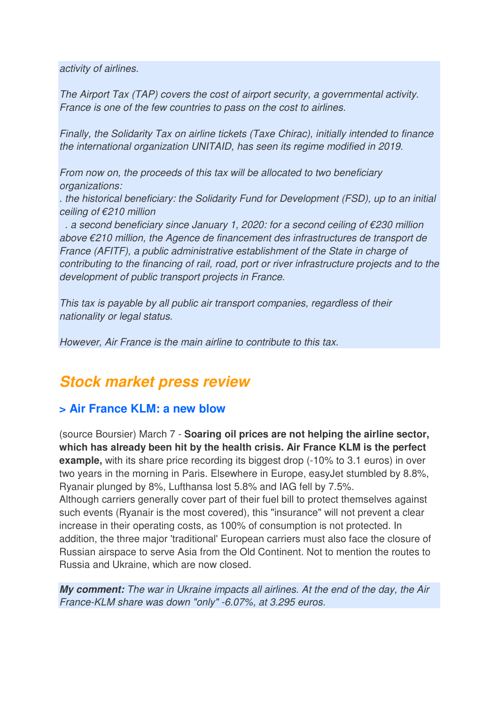activity of airlines.

The Airport Tax (TAP) covers the cost of airport security, a governmental activity. France is one of the few countries to pass on the cost to airlines.

Finally, the Solidarity Tax on airline tickets (Taxe Chirac), initially intended to finance the international organization UNITAID, has seen its regime modified in 2019.

From now on, the proceeds of this tax will be allocated to two beneficiary organizations:

. the historical beneficiary: the Solidarity Fund for Development (FSD), up to an initial ceiling of €210 million

. a second beneficiary since January 1, 2020: for a second ceiling of  $\epsilon$ 230 million above €210 million, the Agence de financement des infrastructures de transport de France (AFITF), a public administrative establishment of the State in charge of contributing to the financing of rail, road, port or river infrastructure projects and to the development of public transport projects in France.

This tax is payable by all public air transport companies, regardless of their nationality or legal status.

However, Air France is the main airline to contribute to this tax.

## **Stock market press review**

#### **> Air France KLM: a new blow**

(source Boursier) March 7 - **Soaring oil prices are not helping the airline sector, which has already been hit by the health crisis. Air France KLM is the perfect example,** with its share price recording its biggest drop (-10% to 3.1 euros) in over two years in the morning in Paris. Elsewhere in Europe, easyJet stumbled by 8.8%, Ryanair plunged by 8%, Lufthansa lost 5.8% and IAG fell by 7.5%. Although carriers generally cover part of their fuel bill to protect themselves against such events (Ryanair is the most covered), this "insurance" will not prevent a clear increase in their operating costs, as 100% of consumption is not protected. In addition, the three major 'traditional' European carriers must also face the closure of Russian airspace to serve Asia from the Old Continent. Not to mention the routes to Russia and Ukraine, which are now closed.

**My comment:** The war in Ukraine impacts all airlines. At the end of the day, the Air France-KLM share was down "only" -6.07%, at 3.295 euros.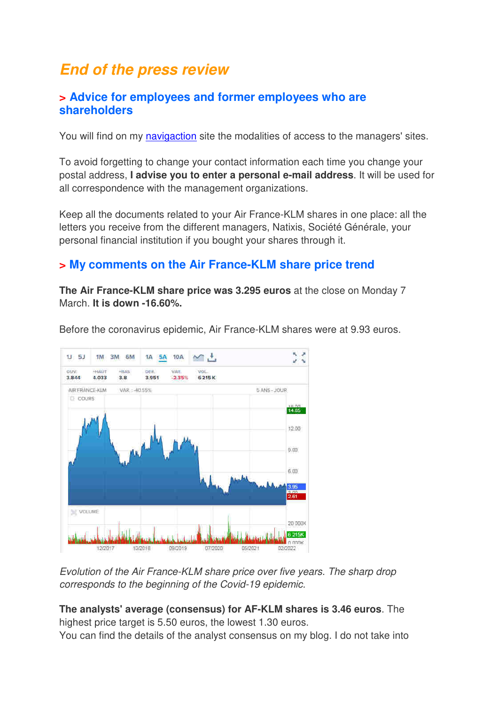# **End of the press review**

#### **> Advice for employees and former employees who are shareholders**

You will find on my navigaction site the modalities of access to the managers' sites.

To avoid forgetting to change your contact information each time you change your postal address, **I advise you to enter a personal e-mail address**. It will be used for all correspondence with the management organizations.

Keep all the documents related to your Air France-KLM shares in one place: all the letters you receive from the different managers, Natixis, Société Générale, your personal financial institution if you bought your shares through it.

#### **> My comments on the Air France-KLM share price trend**

**The Air France-KLM share price was 3.295 euros** at the close on Monday 7 March. **It is down -16.60%.** 



Before the coronavirus epidemic, Air France-KLM shares were at 9.93 euros.

Evolution of the Air France-KLM share price over five years. The sharp drop corresponds to the beginning of the Covid-19 epidemic.

#### **The analysts' average (consensus) for AF-KLM shares is 3.46 euros**. The highest price target is 5.50 euros, the lowest 1.30 euros.

You can find the details of the analyst consensus on my blog. I do not take into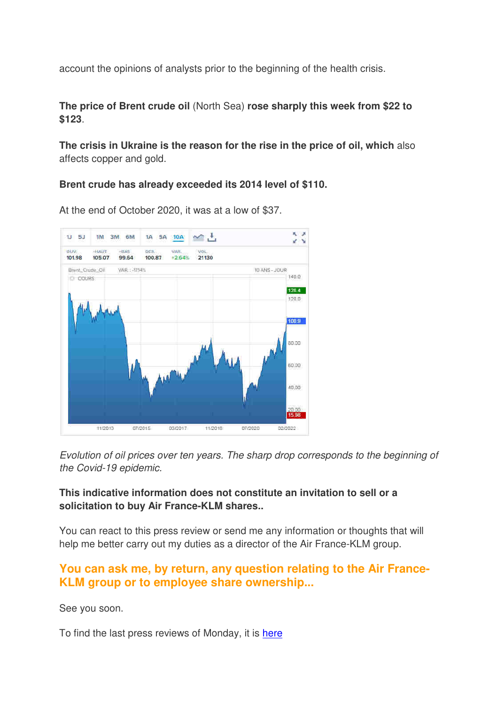account the opinions of analysts prior to the beginning of the health crisis.

**The price of Brent crude oil** (North Sea) **rose sharply this week from \$22 to \$123**.

**The crisis in Ukraine is the reason for the rise in the price of oil, which** also affects copper and gold.

**Brent crude has already exceeded its 2014 level of \$110.** 



At the end of October 2020, it was at a low of \$37.

Evolution of oil prices over ten years. The sharp drop corresponds to the beginning of the Covid-19 epidemic.

#### **This indicative information does not constitute an invitation to sell or a solicitation to buy Air France-KLM shares..**

You can react to this press review or send me any information or thoughts that will help me better carry out my duties as a director of the Air France-KLM group.

#### **You can ask me, by return, any question relating to the Air France-KLM group or to employee share ownership...**

See you soon.

To find the last press reviews of Monday, it is here